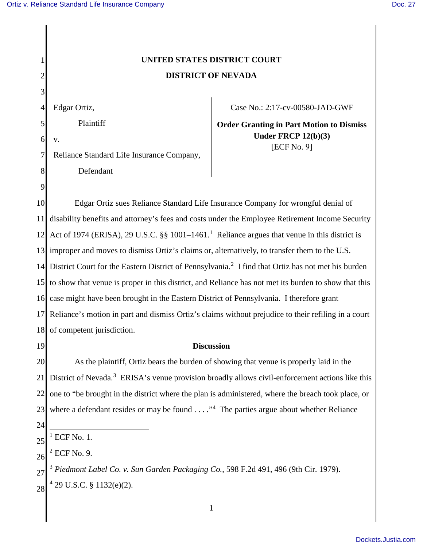## **UNITED STATES DISTRICT COURT DISTRICT OF NEVADA**

4 Edgar Ortiz,

Plaintiff

6 v.

1

2

3

5

7

8

9

Reliance Standard Life Insurance Company,

Defendant

Case No.: 2:17-cv-00580-JAD-GWF

**Order Granting in Part Motion to Dismiss Under FRCP 12(b)(3)** [ECF No. 9]

10 11 12 13 improper and moves to dismiss Ortiz's claims or, alternatively, to transfer them to the U.S. 14 District Court for the Eastern District of Pennsylvania.<sup>2</sup> I find that Ortiz has not met his burden 15 16 case might have been brought in the Eastern District of Pennsylvania. I therefore grant 17 18 Edgar Ortiz sues Reliance Standard Life Insurance Company for wrongful denial of disability benefits and attorney's fees and costs under the Employee Retirement Income Security Act of 1974 (ERISA), 29 U.S.C.  $\S$  1001–1461.<sup>1</sup> Reliance argues that venue in this district is to show that venue is proper in this district, and Reliance has not met its burden to show that this Reliance's motion in part and dismiss Ortiz's claims without prejudice to their refiling in a court of competent jurisdiction.

19

## **Discussion**

20 21 22 23 As the plaintiff, Ortiz bears the burden of showing that venue is properly laid in the District of Nevada.<sup>3</sup> ERISA's venue provision broadly allows civil-enforcement actions like this one to "be brought in the district where the plan is administered, where the breach took place, or where a defendant resides or may be found  $\dots$ ."<sup>4</sup> The parties argue about whether Reliance

24

25  $1$  ECF No. 1.

26 2 ECF No. 9.

27 28 <sup>3</sup> *Piedmont Label Co. v. Sun Garden Packaging Co.*, 598 F.2d 491, 496 (9th Cir. 1979).  $4$  29 U.S.C. § 1132(e)(2).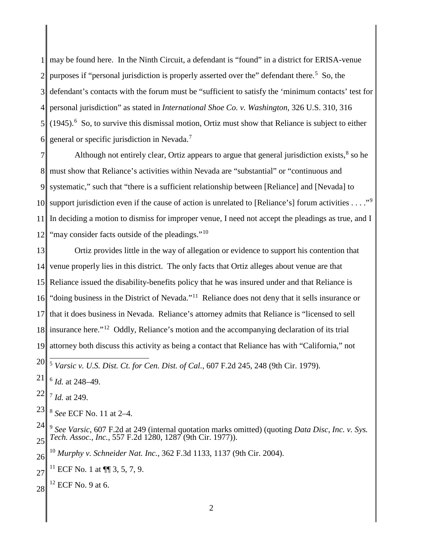may be found here. In the Ninth Circuit, a defendant is "found" in a district for ERISA-venue purposes if "personal jurisdiction is properly asserted over the" defendant there.<sup>5</sup> So, the defendant's contacts with the forum must be "sufficient to satisfy the 'minimum contacts' test for personal jurisdiction" as stated in *International Shoe Co. v. Washington*, 326 U.S. 310, 316  $(1945)$ .<sup>6</sup> So, to survive this dismissal motion, Ortiz must show that Reliance is subject to either general or specific jurisdiction in Nevada.<sup>7</sup>

 10 support jurisdiction even if the cause of action is unrelated to [Reliance's] forum activities . . . ."<sup>9</sup> Although not entirely clear, Ortiz appears to argue that general jurisdiction exists, so he must show that Reliance's activities within Nevada are "substantial" or "continuous and systematic," such that "there is a sufficient relationship between [Reliance] and [Nevada] to In deciding a motion to dismiss for improper venue, I need not accept the pleadings as true, and I "may consider facts outside of the pleadings."<sup>10</sup>

 Ortiz provides little in the way of allegation or evidence to support his contention that venue properly lies in this district. The only facts that Ortiz alleges about venue are that Reliance issued the disability-benefits policy that he was insured under and that Reliance is "doing business in the District of Nevada."<sup>11</sup> Reliance does not deny that it sells insurance or that it does business in Nevada. Reliance's attorney admits that Reliance is "licensed to sell insurance here."<sup>12</sup> Oddly, Reliance's motion and the accompanying declaration of its trial attorney both discuss this activity as being a contact that Reliance has with "California," not

 *Id.* at 248–49.

 *Id.* at 249.

 *See* ECF No. 11 at 2–4.

 *See Varsic*, 607 F.2d at 249 (internal quotation marks omitted) (quoting *Data Disc, Inc. v. Sys. Tech. Assoc., Inc.*, 557 F.2d 1280, 1287 (9th Cir. 1977)).

 *Murphy v. Schneider Nat. Inc.*, 362 F.3d 1133, 1137 (9th Cir. 2004).

 <sup>11</sup> ECF No. 1 at  $\P\P$  3, 5, 7, 9.

 ECF No. 9 at 6.

  $\overline{a}$ *Varsic v. U.S. Dist. Ct. for Cen. Dist. of Cal.*, 607 F.2d 245, 248 (9th Cir. 1979).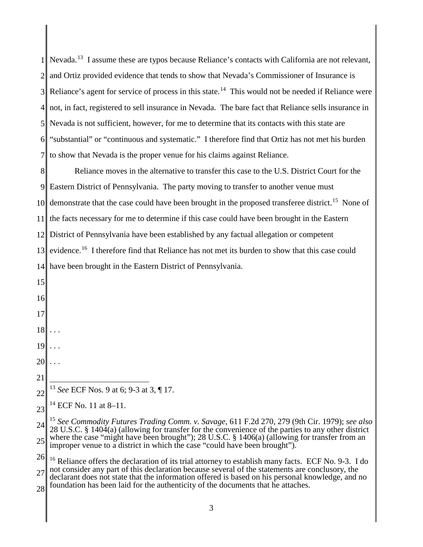|                | $1$ Nevada. <sup>13</sup> I assume these are typos because Reliance's contacts with California are not relevant,                                                                                                |
|----------------|-----------------------------------------------------------------------------------------------------------------------------------------------------------------------------------------------------------------|
|                | and Ortiz provided evidence that tends to show that Nevada's Commissioner of Insurance is                                                                                                                       |
| 3 <sup>1</sup> | Reliance's agent for service of process in this state. <sup>14</sup> This would not be needed if Reliance were                                                                                                  |
| 4 <sup>1</sup> | not, in fact, registered to sell insurance in Nevada. The bare fact that Reliance sells insurance in                                                                                                            |
|                | 5 Nevada is not sufficient, however, for me to determine that its contacts with this state are                                                                                                                  |
|                | 6 "substantial" or "continuous and systematic." I therefore find that Ortiz has not met his burden                                                                                                              |
| 7 <sup>1</sup> | to show that Nevada is the proper venue for his claims against Reliance.                                                                                                                                        |
| 8              | Reliance moves in the alternative to transfer this case to the U.S. District Court for the                                                                                                                      |
|                | 9 Eastern District of Pennsylvania. The party moving to transfer to another venue must                                                                                                                          |
|                | 10 demonstrate that the case could have been brought in the proposed transferee district. <sup>15</sup> None of                                                                                                 |
| <sup>11</sup>  | the facts necessary for me to determine if this case could have been brought in the Eastern                                                                                                                     |
|                | 12 District of Pennsylvania have been established by any factual allegation or competent                                                                                                                        |
| 13             | evidence. <sup>16</sup> I therefore find that Reliance has not met its burden to show that this case could                                                                                                      |
|                | 14 have been brought in the Eastern District of Pennsylvania.                                                                                                                                                   |
| 15             |                                                                                                                                                                                                                 |
| 16             |                                                                                                                                                                                                                 |
| 17             |                                                                                                                                                                                                                 |
|                | $18$                                                                                                                                                                                                            |
| 19             |                                                                                                                                                                                                                 |
| 20             |                                                                                                                                                                                                                 |
| 21             |                                                                                                                                                                                                                 |
| 22             | <sup>13</sup> See ECF Nos. 9 at 6; 9-3 at 3, ¶ 17.                                                                                                                                                              |
| 23             | $^{14}$ ECF No. 11 at 8–11.                                                                                                                                                                                     |
| 24             | <sup>15</sup> See Commodity Futures Trading Comm. v. Savage, 611 F.2d 270, 279 (9th Cir. 1979); see also<br>28 U.S.C. § 1404(a) (allowing for transfer for the convenience of the parties to any other district |
| 25             | where the case "might have been brought"); 28 U.S.C. § 1406(a) (allowing for transfer from an<br>improper venue to a district in which the case "could have been brought").                                     |
| 26             | <sup>16</sup> Reliance offers the declaration of its trial attorney to establish many facts. ECF No. 9-3. I do                                                                                                  |
| 27             | not consider any part of this declaration because several of the statements are conclusory, the<br>declarant does not state that the information offered is based on his personal knowledge, and no             |
| 28             | foundation has been laid for the authenticity of the documents that he attaches.                                                                                                                                |
|                | 3                                                                                                                                                                                                               |
|                |                                                                                                                                                                                                                 |

║